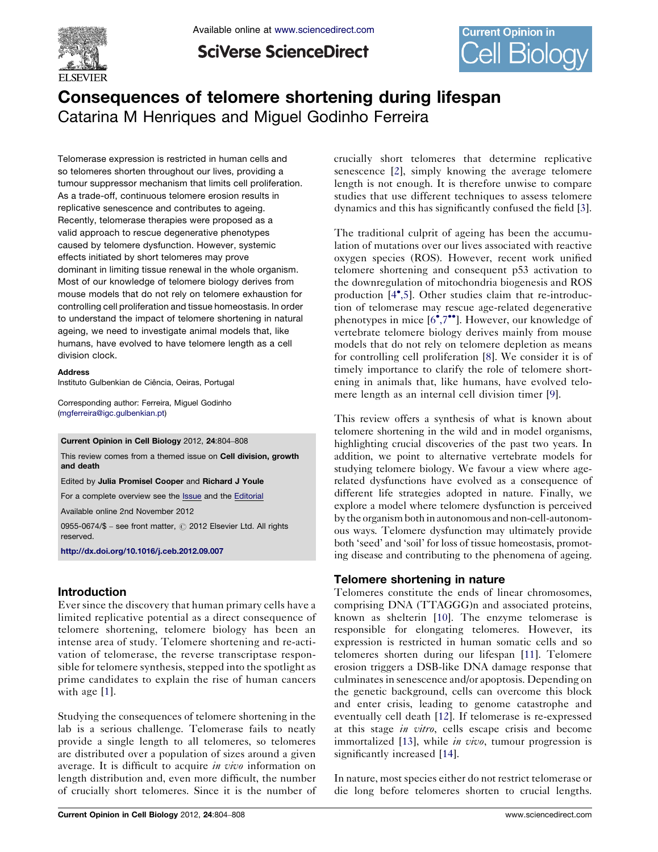

Available online at [www.sciencedirect.com](http://www.sciencedirect.com/science/journal/09550674)

**SciVerse ScienceDirect** 



# Consequences of telomere shortening during lifespan Catarina M Henriques and Miguel Godinho Ferreira

Telomerase expression is restricted in human cells and so telomeres shorten throughout our lives, providing a tumour suppressor mechanism that limits cell proliferation. As a trade-off, continuous telomere erosion results in replicative senescence and contributes to ageing. Recently, telomerase therapies were proposed as a valid approach to rescue degenerative phenotypes caused by telomere dysfunction. However, systemic effects initiated by short telomeres may prove dominant in limiting tissue renewal in the whole organism. Most of our knowledge of telomere biology derives from mouse models that do not rely on telomere exhaustion for controlling cell proliferation and tissue homeostasis. In order to understand the impact of telomere shortening in natural ageing, we need to investigate animal models that, like humans, have evolved to have telomere length as a cell division clock.

#### **Address**

Instituto Gulbenkian de Ciência, Oeiras, Portugal

Corresponding author: Ferreira, Miguel Godinho ([mgferreira@igc.gulbenkian.pt](mailto:mgferreira@igc.gulbenkian.pt))

Current Opinion in Cell Biology 2012, 24:804–808

This review comes from a themed issue on Cell division, growth and death

Edited by Julia Promisel Cooper and Richard J Youle

For a complete overview see the **[Issue](http://www.sciencedirect.com/science/journal/09550674/24/6)** and the [Editorial](http://dx.doi.org/10.1016/j.ceb.2012.11.003)

Available online 2nd November 2012

0955-0674/\$ - see front matter, © 2012 Elsevier Ltd. All rights reserved.

<http://dx.doi.org/10.1016/j.ceb.2012.09.007>

### Introduction

Ever since the discovery that human primary cells have a limited replicative potential as a direct consequence of telomere shortening, telomere biology has been an intense area of study. Telomere shortening and re-activation of telomerase, the reverse transcriptase responsible for telomere synthesis, stepped into the spotlight as prime candidates to explain the rise of human cancers with age [\[1](#page-3-0)].

Studying the consequences of telomere shortening in the lab is a serious challenge. Telomerase fails to neatly provide a single length to all telomeres, so telomeres are distributed over a population of sizes around a given average. It is difficult to acquire *in vivo* information on length distribution and, even more difficult, the number of crucially short telomeres. Since it is the number of crucially short telomeres that determine replicative senescence [\[2](#page-3-0)], simply knowing the average telomere length is not enough. It is therefore unwise to compare studies that use different techniques to assess telomere dynamics and this has significantly confused the field [[3](#page-3-0)].

The traditional culprit of ageing has been the accumulation of mutations over our lives associated with reactive oxygen species (ROS). However, recent work unified telomere shortening and consequent p53 activation to the downregulation of mitochondria biogenesis and ROS production [\[4](#page-3-0)°[,5\]](#page-3-0). Other studies claim that re-introduction of telomerase may rescue age-related degenerative phenotypes in mice [[6](#page-3-0)<sup>\*</sup>[,7](#page-3-0)\*\*]. However, our knowledge of vertebrate telomere biology derives mainly from mouse models that do not rely on telomere depletion as means for controlling cell proliferation [[8\]](#page-3-0). We consider it is of timely importance to clarify the role of telomere shortening in animals that, like humans, have evolved telomere length as an internal cell division timer [[9\]](#page-3-0).

This review offers a synthesis of what is known about telomere shortening in the wild and in model organisms, highlighting crucial discoveries of the past two years. In addition, we point to alternative vertebrate models for studying telomere biology. We favour a view where agerelated dysfunctions have evolved as a consequence of different life strategies adopted in nature. Finally, we explore a model where telomere dysfunction is perceived by the organism both in autonomous and non-cell-autonomous ways. Telomere dysfunction may ultimately provide both 'seed' and 'soil' for loss of tissue homeostasis, promoting disease and contributing to the phenomena of ageing.

### Telomere shortening in nature

Telomeres constitute the ends of linear chromosomes, comprising DNA (TTAGGG)n and associated proteins, known as shelterin [[10\]](#page-3-0). The enzyme telomerase is responsible for elongating telomeres. However, its expression is restricted in human somatic cells and so telomeres shorten during our lifespan [\[11](#page-3-0)]. Telomere erosion triggers a DSB-like DNA damage response that culminates in senescence and/or apoptosis. Depending on the genetic background, cells can overcome this block and enter crisis, leading to genome catastrophe and eventually cell death [\[12](#page-3-0)]. If telomerase is re-expressed at this stage in vitro, cells escape crisis and become immortalized [[13\]](#page-3-0), while *in vivo*, tumour progression is significantly increased [\[14](#page-3-0)].

In nature, most species either do not restrict telomerase or die long before telomeres shorten to crucial lengths.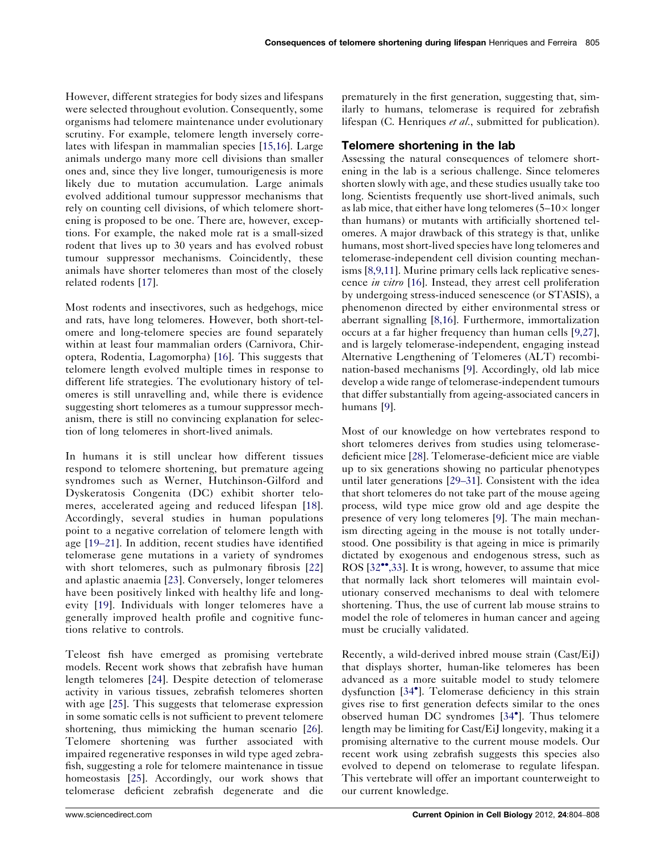However, different strategies for body sizes and lifespans were selected throughout evolution. Consequently, some organisms had telomere maintenance under evolutionary scrutiny. For example, telomere length inversely correlates with lifespan in mammalian species [[15,16\]](#page-3-0). Large animals undergo many more cell divisions than smaller ones and, since they live longer, tumourigenesis is more likely due to mutation accumulation. Large animals evolved additional tumour suppressor mechanisms that rely on counting cell divisions, of which telomere shortening is proposed to be one. There are, however, exceptions. For example, the naked mole rat is a small-sized rodent that lives up to 30 years and has evolved robust tumour suppressor mechanisms. Coincidently, these animals have shorter telomeres than most of the closely related rodents [[17\]](#page-3-0).

Most rodents and insectivores, such as hedgehogs, mice and rats, have long telomeres. However, both short-telomere and long-telomere species are found separately within at least four mammalian orders (Carnivora, Chiroptera, Rodentia, Lagomorpha) [[16\]](#page-3-0). This suggests that telomere length evolved multiple times in response to different life strategies. The evolutionary history of telomeres is still unravelling and, while there is evidence suggesting short telomeres as a tumour suppressor mechanism, there is still no convincing explanation for selection of long telomeres in short-lived animals.

In humans it is still unclear how different tissues respond to telomere shortening, but premature ageing syndromes such as Werner, Hutchinson-Gilford and Dyskeratosis Congenita (DC) exhibit shorter telomeres, accelerated ageing and reduced lifespan [[18](#page-3-0)]. Accordingly, several studies in human populations point to a negative correlation of telomere length with age [\[19](#page-3-0)–21]. In addition, recent studies have identified telomerase gene mutations in a variety of syndromes with short telomeres, such as pulmonary fibrosis [[22\]](#page-3-0) and aplastic anaemia [\[23](#page-3-0)]. Conversely, longer telomeres have been positively linked with healthy life and longevity [\[19](#page-3-0)]. Individuals with longer telomeres have a generally improved health profile and cognitive functions relative to controls.

Teleost fish have emerged as promising vertebrate models. Recent work shows that zebrafish have human length telomeres [\[24](#page-3-0)]. Despite detection of telomerase activity in various tissues, zebrafish telomeres shorten with age [[25\]](#page-3-0). This suggests that telomerase expression in some somatic cells is not sufficient to prevent telomere shortening, thus mimicking the human scenario [\[26](#page-4-0)]. Telomere shortening was further associated with impaired regenerative responses in wild type aged zebrafish, suggesting a role for telomere maintenance in tissue homeostasis [[25\]](#page-3-0). Accordingly, our work shows that telomerase deficient zebrafish degenerate and die

prematurely in the first generation, suggesting that, similarly to humans, telomerase is required for zebrafish lifespan (C. Henriques et al., submitted for publication).

### Telomere shortening in the lab

Assessing the natural consequences of telomere shortening in the lab is a serious challenge. Since telomeres shorten slowly with age, and these studies usually take too long. Scientists frequently use short-lived animals, such as lab mice, that either have long telomeres  $(5-10\times \text{longer}$ than humans) or mutants with artificially shortened telomeres. A major drawback of this strategy is that, unlike humans, most short-lived species have long telomeres and telomerase-independent cell division counting mechanisms [[8,9,11\]](#page-3-0). Murine primary cells lack replicative senes-cence in vitro [[16\]](#page-3-0). Instead, they arrest cell proliferation by undergoing stress-induced senescence (or STASIS), a phenomenon directed by either environmental stress or aberrant signalling [\[8,16\]](#page-3-0). Furthermore, immortalization occurs at a far higher frequency than human cells [\[9,27\]](#page-3-0), and is largely telomerase-independent, engaging instead Alternative Lengthening of Telomeres (ALT) recombination-based mechanisms [[9\]](#page-3-0). Accordingly, old lab mice develop a wide range of telomerase-independent tumours that differ substantially from ageing-associated cancers in humans [[9](#page-3-0)].

Most of our knowledge on how vertebrates respond to short telomeres derives from studies using telomerasedeficient mice [[28\]](#page-4-0). Telomerase-deficient mice are viable up to six generations showing no particular phenotypes until later generations [29–[31\]](#page-4-0). Consistent with the idea that short telomeres do not take part of the mouse ageing process, wild type mice grow old and age despite the presence of very long telomeres [[9\]](#page-3-0). The main mechanism directing ageing in the mouse is not totally understood. One possibility is that ageing in mice is primarily dictated by exogenous and endogenous stress, such as ROS [[32](#page-4-0)\*\*[,33\]](#page-4-0). It is wrong, however, to assume that mice that normally lack short telomeres will maintain evolutionary conserved mechanisms to deal with telomere shortening. Thus, the use of current lab mouse strains to model the role of telomeres in human cancer and ageing must be crucially validated.

Recently, a wild-derived inbred mouse strain (Cast/EiJ) that displays shorter, human-like telomeres has been advanced as a more suitable model to study telomere dysfunction [[34](#page-4-0)<sup>°</sup>]. Telomerase deficiency in this strain gives rise to first generation defects similar to the ones observed human DC syndromes [[34](#page-4-0)<sup>°</sup>]. Thus telomere length may be limiting for Cast/EiJ longevity, making it a promising alternative to the current mouse models. Our recent work using zebrafish suggests this species also evolved to depend on telomerase to regulate lifespan. This vertebrate will offer an important counterweight to our current knowledge.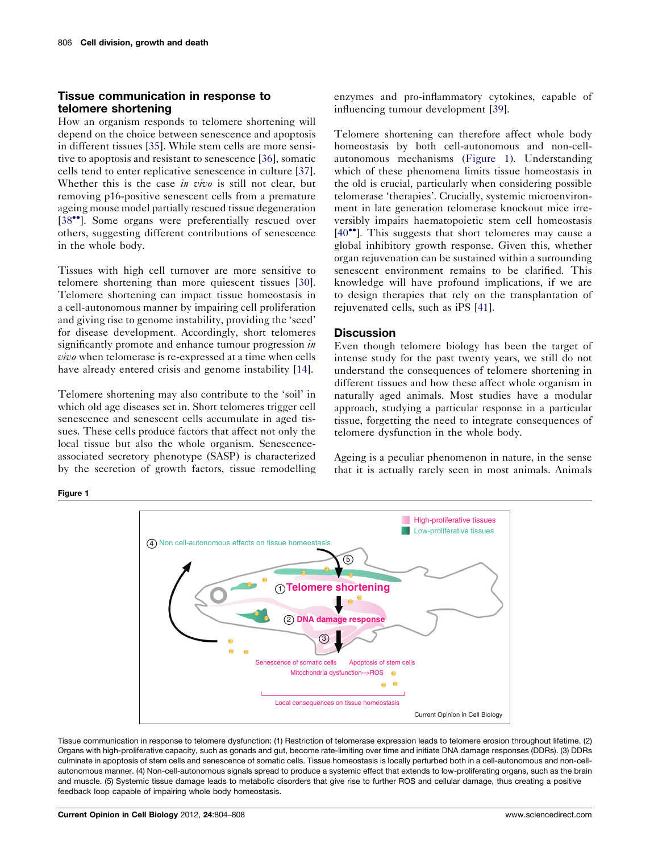## <span id="page-2-0"></span>Tissue communication in response to telomere shortening

How an organism responds to telomere shortening will depend on the choice between senescence and apoptosis in different tissues [[35\]](#page-4-0). While stem cells are more sensitive to apoptosis and resistant to senescence [[36\]](#page-4-0), somatic cells tend to enter replicative senescence in culture [\[37](#page-4-0)]. Whether this is the case *in vivo* is still not clear, but removing p16-positive senescent cells from a premature ageing mouse model partially rescued tissue degeneration [\[38](#page-4-0)\*\*]. Some organs were preferentially rescued over others, suggesting different contributions of senescence in the whole body.

Tissues with high cell turnover are more sensitive to telomere shortening than more quiescent tissues [\[30](#page-4-0)]. Telomere shortening can impact tissue homeostasis in a cell-autonomous manner by impairing cell proliferation and giving rise to genome instability, providing the 'seed' for disease development. Accordingly, short telomeres significantly promote and enhance tumour progression in vivo when telomerase is re-expressed at a time when cells have already entered crisis and genome instability [\[14](#page-3-0)].

Telomere shortening may also contribute to the 'soil' in which old age diseases set in. Short telomeres trigger cell senescence and senescent cells accumulate in aged tissues. These cells produce factors that affect not only the local tissue but also the whole organism. Senescenceassociated secretory phenotype (SASP) is characterized by the secretion of growth factors, tissue remodelling enzymes and pro-inflammatory cytokines, capable of influencing tumour development [[39\]](#page-4-0).

Telomere shortening can therefore affect whole body homeostasis by both cell-autonomous and non-cellautonomous mechanisms (Figure 1). Understanding which of these phenomena limits tissue homeostasis in the old is crucial, particularly when considering possible telomerase 'therapies'. Crucially, systemic microenvironment in late generation telomerase knockout mice irreversibly impairs haematopoietic stem cell homeostasis [\[40](#page-4-0)<sup>\*</sup>]. This suggests that short telomeres may cause a global inhibitory growth response. Given this, whether organ rejuvenation can be sustained within a surrounding senescent environment remains to be clarified. This knowledge will have profound implications, if we are to design therapies that rely on the transplantation of rejuvenated cells, such as iPS [[41\]](#page-4-0).

### **Discussion**

Even though telomere biology has been the target of intense study for the past twenty years, we still do not understand the consequences of telomere shortening in different tissues and how these affect whole organism in naturally aged animals. Most studies have a modular approach, studying a particular response in a particular tissue, forgetting the need to integrate consequences of telomere dysfunction in the whole body.

Ageing is a peculiar phenomenon in nature, in the sense that it is actually rarely seen in most animals. Animals

### Figure 1



Tissue communication in response to telomere dysfunction: (1) Restriction of telomerase expression leads to telomere erosion throughout lifetime. (2) Organs with high-proliferative capacity, such as gonads and gut, become rate-limiting over time and initiate DNA damage responses (DDRs). (3) DDRs culminate in apoptosis of stem cells and senescence of somatic cells. Tissue homeostasis is locally perturbed both in a cell-autonomous and non-cellautonomous manner. (4) Non-cell-autonomous signals spread to produce a systemic effect that extends to low-proliferating organs, such as the brain and muscle. (5) Systemic tissue damage leads to metabolic disorders that give rise to further ROS and cellular damage, thus creating a positive feedback loop capable of impairing whole body homeostasis.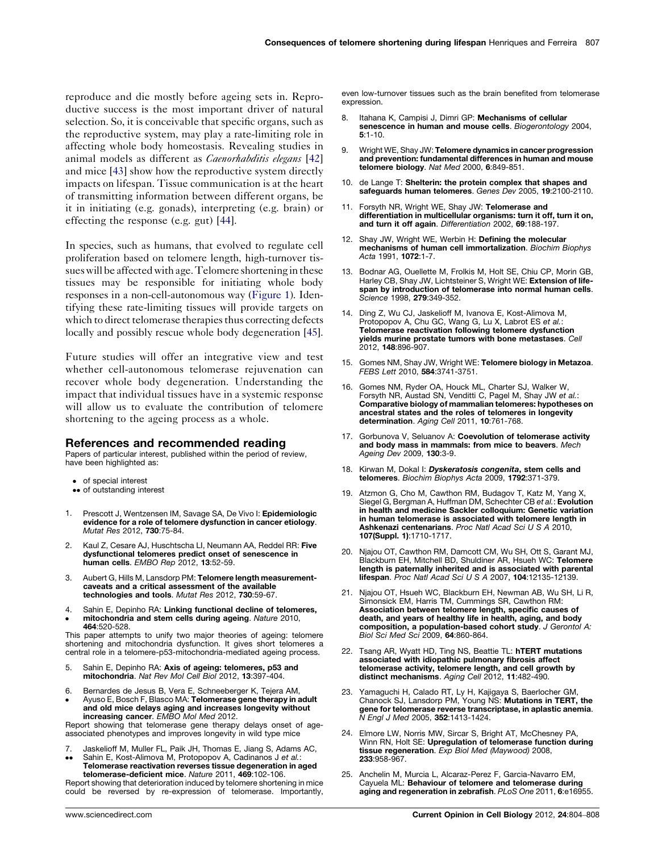<span id="page-3-0"></span>reproduce and die mostly before ageing sets in. Reproductive success is the most important driver of natural selection. So, it is conceivable that specific organs, such as the reproductive system, may play a rate-limiting role in affecting whole body homeostasis. Revealing studies in animal models as different as *Caenorhabditis elegans* [[42\]](#page-4-0) and mice [\[43](#page-4-0)] show how the reproductive system directly impacts on lifespan. Tissue communication is at the heart of transmitting information between different organs, be it in initiating (e.g. gonads), interpreting (e.g. brain) or effecting the response (e.g. gut) [[44\]](#page-4-0).

In species, such as humans, that evolved to regulate cell proliferation based on telomere length, high-turnover tissues will be affected with age. Telomere shortening in these tissues may be responsible for initiating whole body responses in a non-cell-autonomous way [\(Figure](#page-2-0) 1). Identifying these rate-limiting tissues will provide targets on which to direct telomerase therapies thus correcting defects locally and possibly rescue whole body degeneration [[45](#page-4-0)].

Future studies will offer an integrative view and test whether cell-autonomous telomerase rejuvenation can recover whole body degeneration. Understanding the impact that individual tissues have in a systemic response will allow us to evaluate the contribution of telomere shortening to the ageing process as a whole.

#### References and recommended reading

Papers of particular interest, published within the period of review, have been highlighted as:

- of special interest
- •• of outstanding interest
- Prescott J, Wentzensen IM, Savage SA, De Vivo I: Epidemiologic evidence for a role of telomere dysfunction in cancer etiology. Mutat Res 2012, 730:75-84.
- 2. Kaul Z, Cesare AJ, Huschtscha LI, Neumann AA, Reddel RR: Five dysfunctional telomeres predict onset of senescence in human cells. EMBO Rep 2012, 13:52-59.
- 3. Aubert G, Hills M, Lansdorp PM: Telomere length measurementcaveats and a critical assessment of the available technologies and tools. Mutat Res 2012, 730:59-67.
- 4.  $\bullet$ Sahin E, Depinho RA: Linking functional decline of telomeres, mitochondria and stem cells during ageing. Nature 2010, 464:520-528.

This paper attempts to unify two major theories of ageing: telomere shortening and mitochondria dysfunction. It gives short telomeres a central role in a telomere-p53-mitochondria-mediated ageing process.

- 5. Sahin E, Depinho RA: Axis of ageing: telomeres, p53 and mitochondria. Nat Rev Mol Cell Biol 2012, 13:397-404.
- 6.  $\bullet$ Bernardes de Jesus B, Vera E, Schneeberger K, Tejera AM, Ayuso E, Bosch F, Blasco MA: Telomerase gene therapy in adult and old mice delays aging and increases longevity without increasing cancer. EMBO Mol Med 2012.

Report showing that telomerase gene therapy delays onset of ageassociated phenotypes and improves longevity in wild type mice

- 7. Jaskelioff M, Muller FL, Paik JH, Thomas E, Jiang S, Adams AC,
- $\bullet$  $\bullet$ Sahin E, Kost-Alimova M, Protopopov A, Cadinanos J et al.:
- Telomerase reactivation reverses tissue degeneration in aged telomerase-deficient mice. Nature 2011, 469:102-106.

Report showing that deterioration induced by telomere shortening in mice could be reversed by re-expression of telomerase. Importantly, even low-turnover tissues such as the brain benefited from telomerase expression.

- 8. Itahana K, Campisi J, Dimri GP: Mechanisms of cellular senescence in human and mouse cells. Biogerontology 2004, 5:1-10.
- 9. Wright WE, Shay JW: Telomere dynamics in cancer progression and prevention: fundamental differences in human and mouse telomere biology. Nat Med 2000, 6:849-851.
- 10. de Lange T: Shelterin: the protein complex that shapes and safeguards human telomeres. Genes Dev 2005, 19:2100-2110.
- 11. Forsyth NR, Wright WE, Shay JW: Telomerase and differentiation in multicellular organisms: turn it off, turn it on, and turn it off again. Differentiation 2002, 69:188-197.
- 12. Shay JW, Wright WE, Werbin H: Defining the molecular mechanisms of human cell immortalization. Biochim Biophys Acta 1991, 1072:1-7.
- 13. Bodnar AG, Ouellette M, Frolkis M, Holt SE, Chiu CP, Morin GB, Harley CB, Shay JW, Lichtsteiner S, Wright WE: Extension of lifespan by introduction of telomerase into normal human cells. Science 1998, 279:349-352.
- 14. Ding Z, Wu CJ, Jaskelioff M, Ivanova E, Kost-Alimova M,<br>Protopopov A, Chu GC, Wang G, Lu X, Labrot ES et al.: Telomerase reactivation following telomere dysfunction **yields murine prostate tumors with bone metastases**. Cell<br>2012, **148**:896-907.
- 15. Gomes NM, Shay JW, Wright WE: Telomere biology in Metazoa. FEBS Lett 2010, 584:3741-3751.
- 16. Gomes NM, Ryder OA, Houck ML, Charter SJ, Walker W, Forsyth NR, Austad SN, Venditti C, Pagel M, Shay JW et al.: Comparative biology of mammalian telomeres: hypotheses on ancestral states and the roles of telomeres in longevity determination. Aging Cell 2011, 10:761-768.
- 17. Gorbunova V, Seluanov A: Coevolution of telomerase activity and body mass in mammals: from mice to beavers. Mech Ageing Dev 2009, 130:3-9.
- 18. Kirwan M, Dokal I: Dyskeratosis congenita, stem cells and telomeres. Biochim Biophys Acta 2009, 1792:371-379.
- 19. Atzmon G, Cho M, Cawthon RM, Budagov T, Katz M, Yang X, Siegel G, Bergman A, Huffman DM, Schechter CB et al.: Evolution in health and medicine Sackler colloquium: Genetic variation in human telomerase is associated with telomere length in Ashkenazi centenarians. Proc Natl Acad Sci U S A 2010, 107(Suppl. 1):1710-1717.
- 20. Njajou OT, Cawthon RM, Damcott CM, Wu SH, Ott S, Garant MJ, Blackburn EH, Mitchell BD, Shuldiner AR, Hsueh WC: Telomere length is paternally inherited and is associated with parental lifespan. Proc Natl Acad Sci U S A 2007, 104:12135-12139.
- 21. Njajou OT, Hsueh WC, Blackburn EH, Newman AB, Wu SH, Li R, Simonsick EM, Harris TM, Cummings SR, Cawthon RM: Association between telomere length, specific causes of death, and years of healthy life in health, aging, and body composition, a population-based cohort study. J Gerontol A: Biol Sci Med Sci 2009, 64:860-864.
- 22. Tsang AR, Wyatt HD, Ting NS, Beattie TL: hTERT mutations associated with idiopathic pulmonary fibrosis affect telomerase activity, telomere length, and cell growth by distinct mechanisms. Aging Cell 2012, 11:482-490.
- 23. Yamaguchi H, Calado RT, Ly H, Kajigaya S, Baerlocher GM,<br>Chanock SJ, Lansdorp PM, Young NS: **Mutations in TERT, the** gene for telomerase reverse transcriptase, in aplastic anemia. N Engl J Med 2005, 352:1413-1424.
- 24. Elmore LW, Norris MW, Sircar S, Bright AT, McChesney PA, Winn RN, Holt SE: Upregulation of telomerase function during tissue regeneration. Exp Biol Med (Maywood) 2008, 233:958-967.
- 25. Anchelin M, Murcia L, Alcaraz-Perez F, Garcia-Navarro EM, Cayuela ML: Behaviour of telomere and telomerase during aging and regeneration in zebrafish. PLoS One 2011, 6:e16955.